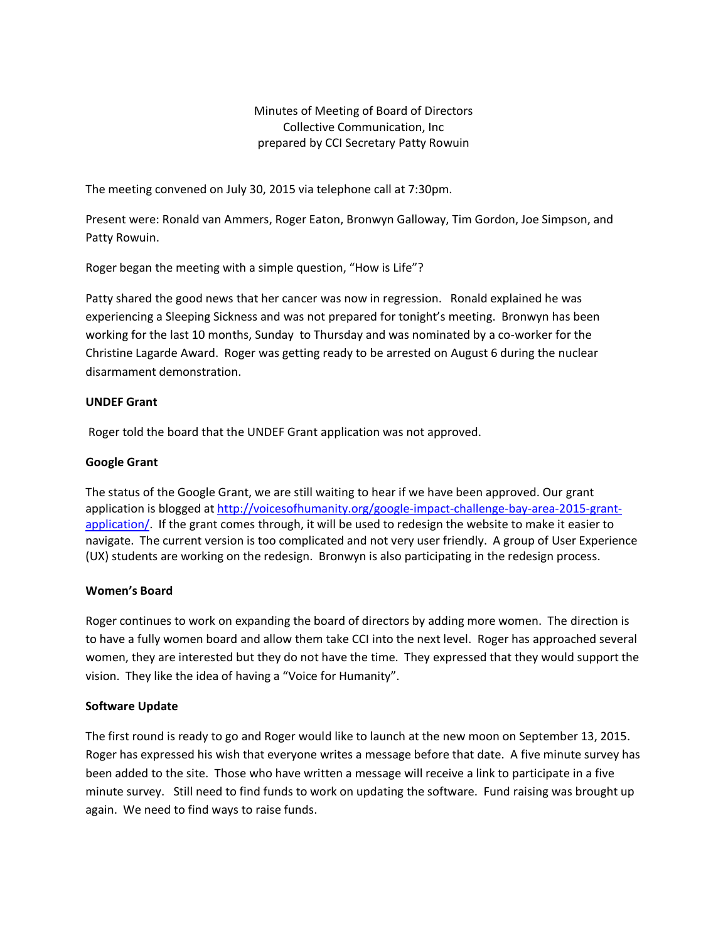Minutes of Meeting of Board of Directors Collective Communication, Inc prepared by CCI Secretary Patty Rowuin

The meeting convened on July 30, 2015 via telephone call at 7:30pm.

Present were: Ronald van Ammers, Roger Eaton, Bronwyn Galloway, Tim Gordon, Joe Simpson, and Patty Rowuin.

Roger began the meeting with a simple question, "How is Life"?

Patty shared the good news that her cancer was now in regression. Ronald explained he was experiencing a Sleeping Sickness and was not prepared for tonight's meeting. Bronwyn has been working for the last 10 months, Sunday to Thursday and was nominated by a co-worker for the Christine Lagarde Award. Roger was getting ready to be arrested on August 6 during the nuclear disarmament demonstration.

#### **UNDEF Grant**

Roger told the board that the UNDEF Grant application was not approved.

## **Google Grant**

The status of the Google Grant, we are still waiting to hear if we have been approved. Our grant application is blogged at [http://voicesofhumanity.org/google-impact-challenge-bay-area-2015-grant](http://voicesofhumanity.org/google-impact-challenge-bay-area-2015-grant-application/)[application/.](http://voicesofhumanity.org/google-impact-challenge-bay-area-2015-grant-application/) If the grant comes through, it will be used to redesign the website to make it easier to navigate. The current version is too complicated and not very user friendly. A group of User Experience (UX) students are working on the redesign. Bronwyn is also participating in the redesign process.

#### **Women's Board**

Roger continues to work on expanding the board of directors by adding more women. The direction is to have a fully women board and allow them take CCI into the next level. Roger has approached several women, they are interested but they do not have the time. They expressed that they would support the vision. They like the idea of having a "Voice for Humanity".

#### **Software Update**

The first round is ready to go and Roger would like to launch at the new moon on September 13, 2015. Roger has expressed his wish that everyone writes a message before that date. A five minute survey has been added to the site. Those who have written a message will receive a link to participate in a five minute survey. Still need to find funds to work on updating the software. Fund raising was brought up again. We need to find ways to raise funds.